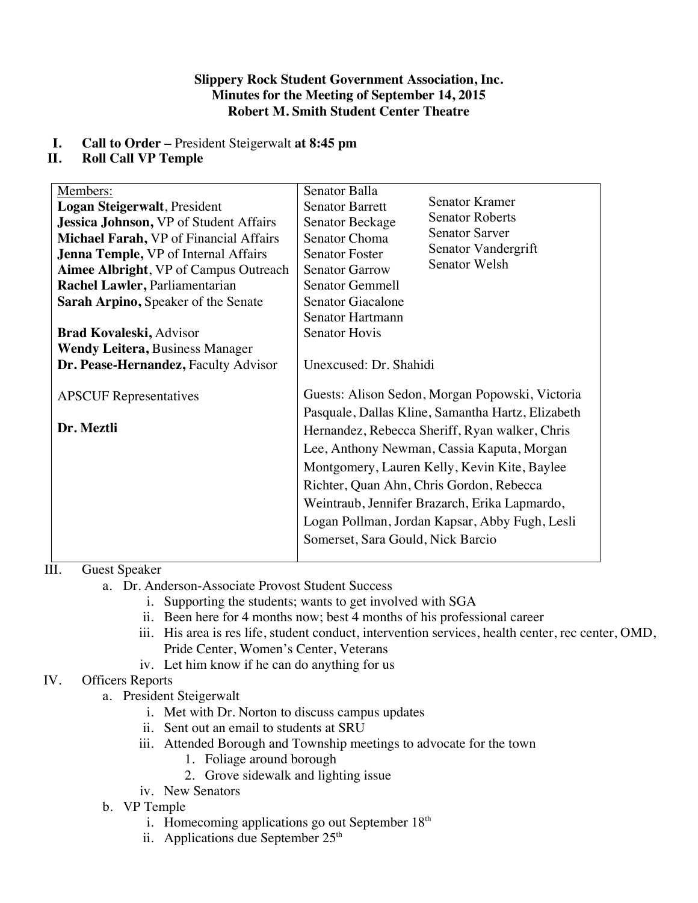### **Slippery Rock Student Government Association, Inc. Minutes for the Meeting of September 14, 2015 Robert M. Smith Student Center Theatre**

# **I. Call to Order –** President Steigerwalt **at 8:45 pm**

# **II. Roll Call VP Temple**

| Members:                                      | Senator Balla                                     |  |
|-----------------------------------------------|---------------------------------------------------|--|
| Logan Steigerwalt, President                  | Senator Kramer<br><b>Senator Barrett</b>          |  |
| <b>Jessica Johnson, VP of Student Affairs</b> | <b>Senator Roberts</b><br>Senator Beckage         |  |
| <b>Michael Farah, VP</b> of Financial Affairs | <b>Senator Sarver</b><br>Senator Choma            |  |
| Jenna Temple, VP of Internal Affairs          | Senator Vandergrift<br><b>Senator Foster</b>      |  |
| <b>Aimee Albright, VP of Campus Outreach</b>  | <b>Senator Welsh</b><br><b>Senator Garrow</b>     |  |
| Rachel Lawler, Parliamentarian                | <b>Senator Gemmell</b>                            |  |
| <b>Sarah Arpino, Speaker of the Senate</b>    | Senator Giacalone                                 |  |
|                                               | Senator Hartmann                                  |  |
| <b>Brad Kovaleski, Advisor</b>                | <b>Senator Hovis</b>                              |  |
| <b>Wendy Leitera, Business Manager</b>        |                                                   |  |
| Dr. Pease-Hernandez, Faculty Advisor          | Unexcused: Dr. Shahidi                            |  |
|                                               |                                                   |  |
| <b>APSCUF</b> Representatives                 | Guests: Alison Sedon, Morgan Popowski, Victoria   |  |
|                                               | Pasquale, Dallas Kline, Samantha Hartz, Elizabeth |  |
| Dr. Meztli                                    | Hernandez, Rebecca Sheriff, Ryan walker, Chris    |  |
|                                               | Lee, Anthony Newman, Cassia Kaputa, Morgan        |  |
|                                               |                                                   |  |
|                                               | Montgomery, Lauren Kelly, Kevin Kite, Baylee      |  |
|                                               | Richter, Quan Ahn, Chris Gordon, Rebecca          |  |
|                                               | Weintraub, Jennifer Brazarch, Erika Lapmardo,     |  |
|                                               | Logan Pollman, Jordan Kapsar, Abby Fugh, Lesli    |  |
|                                               | Somerset, Sara Gould, Nick Barcio                 |  |
|                                               |                                                   |  |

# III. Guest Speaker

- a. Dr. Anderson-Associate Provost Student Success
	- i. Supporting the students; wants to get involved with SGA
	- ii. Been here for 4 months now; best 4 months of his professional career
	- iii. His area is res life, student conduct, intervention services, health center, rec center, OMD, Pride Center, Women's Center, Veterans
	- iv. Let him know if he can do anything for us

# IV. Officers Reports

- a. President Steigerwalt
	- i. Met with Dr. Norton to discuss campus updates
	- ii. Sent out an email to students at SRU
	- iii. Attended Borough and Township meetings to advocate for the town
		- 1. Foliage around borough
		- 2. Grove sidewalk and lighting issue
	- iv. New Senators
- b. VP Temple
	- i. Homecoming applications go out September  $18<sup>th</sup>$
	- ii. Applications due September  $25<sup>th</sup>$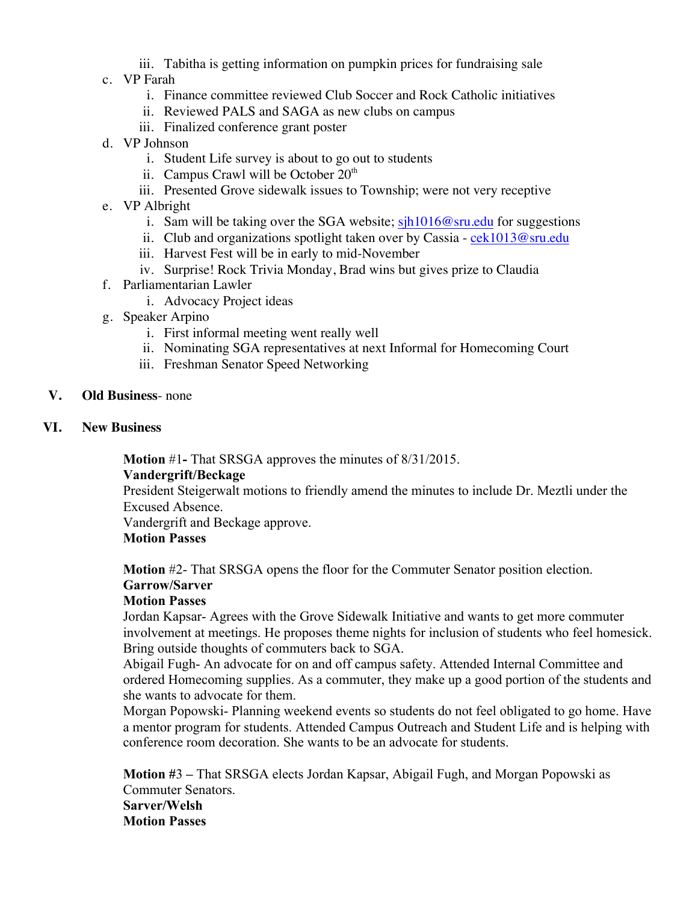- iii. Tabitha is getting information on pumpkin prices for fundraising sale
- c. VP Farah
	- i. Finance committee reviewed Club Soccer and Rock Catholic initiatives
	- ii. Reviewed PALS and SAGA as new clubs on campus
	- iii. Finalized conference grant poster
- d. VP Johnson
	- i. Student Life survey is about to go out to students
	- ii. Campus Crawl will be October  $20<sup>th</sup>$
	- iii. Presented Grove sidewalk issues to Township; were not very receptive
- e. VP Albright
	- i. Sam will be taking over the SGA website;  $\sinh 1016\omega$  sru.edu for suggestions
	- ii. Club and organizations spotlight taken over by Cassia  $cek1013@sru.edu$
	- iii. Harvest Fest will be in early to mid-November
	- iv. Surprise! Rock Trivia Monday, Brad wins but gives prize to Claudia
- f. Parliamentarian Lawler
	- i. Advocacy Project ideas
- g. Speaker Arpino
	- i. First informal meeting went really well
	- ii. Nominating SGA representatives at next Informal for Homecoming Court
	- iii. Freshman Senator Speed Networking
- **V. Old Business** none
- **VI. New Business**

**Motion** #1**-** That SRSGA approves the minutes of 8/31/2015.

### **Vandergrift/Beckage**

President Steigerwalt motions to friendly amend the minutes to include Dr. Meztli under the Excused Absence.

Vandergrift and Beckage approve.

### **Motion Passes**

**Motion** #2- That SRSGA opens the floor for the Commuter Senator position election.

# **Garrow/Sarver**

### **Motion Passes**

Jordan Kapsar- Agrees with the Grove Sidewalk Initiative and wants to get more commuter involvement at meetings. He proposes theme nights for inclusion of students who feel homesick. Bring outside thoughts of commuters back to SGA.

Abigail Fugh- An advocate for on and off campus safety. Attended Internal Committee and ordered Homecoming supplies. As a commuter, they make up a good portion of the students and she wants to advocate for them.

Morgan Popowski- Planning weekend events so students do not feel obligated to go home. Have a mentor program for students. Attended Campus Outreach and Student Life and is helping with conference room decoration. She wants to be an advocate for students.

**Motion #**3 **–** That SRSGA elects Jordan Kapsar, Abigail Fugh, and Morgan Popowski as Commuter Senators. **Sarver/Welsh Motion Passes**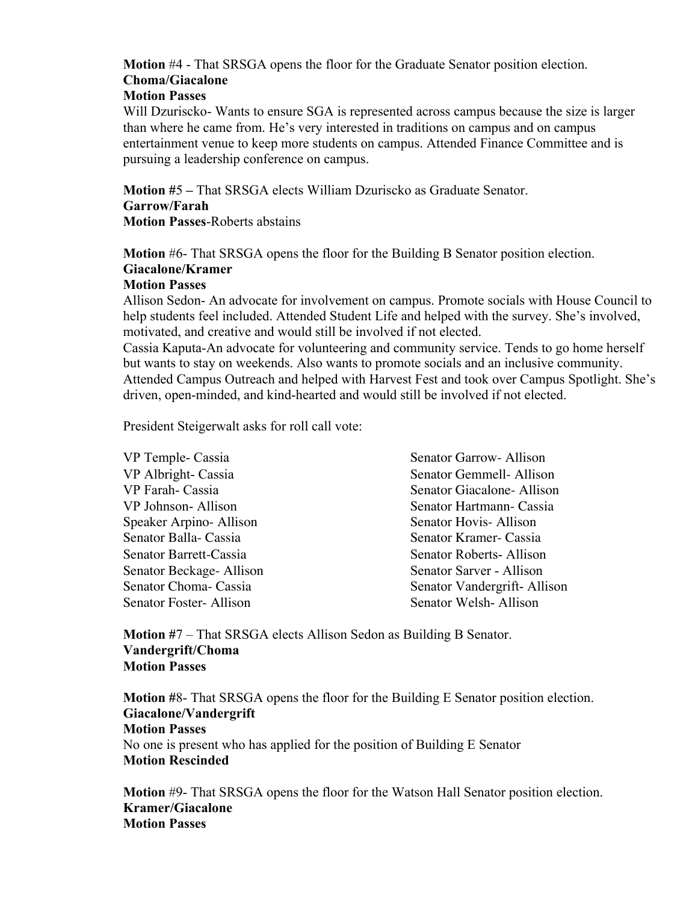# **Motion** #4 - That SRSGA opens the floor for the Graduate Senator position election. **Choma/Giacalone**

# **Motion Passes**

Will Dzuriscko- Wants to ensure SGA is represented across campus because the size is larger than where he came from. He's very interested in traditions on campus and on campus entertainment venue to keep more students on campus. Attended Finance Committee and is pursuing a leadership conference on campus.

**Motion #**5 **–** That SRSGA elects William Dzuriscko as Graduate Senator. **Garrow/Farah Motion Passes**-Roberts abstains

**Motion** #6- That SRSGA opens the floor for the Building B Senator position election. **Giacalone/Kramer**

### **Motion Passes**

Allison Sedon- An advocate for involvement on campus. Promote socials with House Council to help students feel included. Attended Student Life and helped with the survey. She's involved, motivated, and creative and would still be involved if not elected.

Cassia Kaputa-An advocate for volunteering and community service. Tends to go home herself but wants to stay on weekends. Also wants to promote socials and an inclusive community. Attended Campus Outreach and helped with Harvest Fest and took over Campus Spotlight. She's driven, open-minded, and kind-hearted and would still be involved if not elected.

President Steigerwalt asks for roll call vote:

| VP Temple- Cassia       | Senator Garrow- Allison     |
|-------------------------|-----------------------------|
| VP Albright- Cassia     | Senator Gemmell- Allison    |
| VP Farah- Cassia        | Senator Giacalone- Allison  |
| VP Johnson-Allison      | Senator Hartmann- Cassia    |
| Speaker Arpino-Allison  | Senator Hovis-Allison       |
| Senator Balla- Cassia   | Senator Kramer- Cassia      |
| Senator Barrett-Cassia  | Senator Roberts-Allison     |
| Senator Beckage-Allison | Senator Sarver - Allison    |
| Senator Choma- Cassia   | Senator Vandergrift-Allison |
| Senator Foster-Allison  | Senator Welsh-Allison       |

**Motion #**7 – That SRSGA elects Allison Sedon as Building B Senator. **Vandergrift/Choma Motion Passes**

**Motion #**8- That SRSGA opens the floor for the Building E Senator position election. **Giacalone/Vandergrift Motion Passes** No one is present who has applied for the position of Building E Senator **Motion Rescinded**

**Motion** #9- That SRSGA opens the floor for the Watson Hall Senator position election. **Kramer/Giacalone Motion Passes**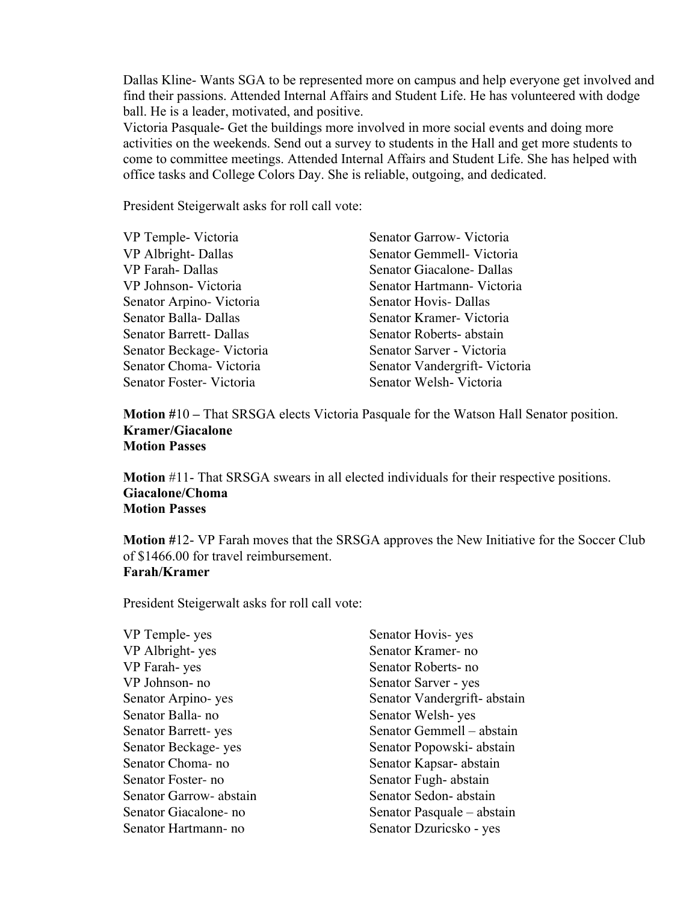Dallas Kline- Wants SGA to be represented more on campus and help everyone get involved and find their passions. Attended Internal Affairs and Student Life. He has volunteered with dodge ball. He is a leader, motivated, and positive.

Victoria Pasquale- Get the buildings more involved in more social events and doing more activities on the weekends. Send out a survey to students in the Hall and get more students to come to committee meetings. Attended Internal Affairs and Student Life. She has helped with office tasks and College Colors Day. She is reliable, outgoing, and dedicated.

President Steigerwalt asks for roll call vote:

| VP Temple- Victoria           | Senator Garrow- Victoria     |
|-------------------------------|------------------------------|
| VP Albright-Dallas            | Senator Gemmell- Victoria    |
| VP Farah-Dallas               | Senator Giacalone-Dallas     |
| VP Johnson-Victoria           | Senator Hartmann Victoria    |
| Senator Arpino-Victoria       | <b>Senator Hovis- Dallas</b> |
| Senator Balla-Dallas          | Senator Kramer- Victoria     |
| <b>Senator Barrett-Dallas</b> | Senator Roberts-abstain      |
| Senator Beckage-Victoria      | Senator Sarver - Victoria    |
| Senator Choma-Victoria        | Senator Vandergrift-Victoria |
| Senator Foster-Victoria       | Senator Welsh-Victoria       |

**Motion #**10 **–** That SRSGA elects Victoria Pasquale for the Watson Hall Senator position. **Kramer/Giacalone Motion Passes**

**Motion** #11- That SRSGA swears in all elected individuals for their respective positions. **Giacalone/Choma Motion Passes**

**Motion #**12- VP Farah moves that the SRSGA approves the New Initiative for the Soccer Club of \$1466.00 for travel reimbursement. **Farah/Kramer**

President Steigerwalt asks for roll call vote:

VP Temple- yes Senator Hovis- yes VP Albright- yes Senator Kramer- no VP Farah- yes Senator Roberts- no VP Johnson- no Senator Sarver - yes Senator Balla- no Senator Welsh- yes Senator Choma- no Senator Kapsar- abstain Senator Foster- no Senator Fugh- abstain Senator Garrow- abstain Senator Sedon- abstain Senator Hartmann- no Senator Dzuricsko - yes

Senator Arpino- yes Senator Vandergrift- abstain Senator Barrett- yes Senator Gemmell – abstain Senator Beckage- yes Senator Popowski- abstain Senator Giacalone- no Senator Pasquale – abstain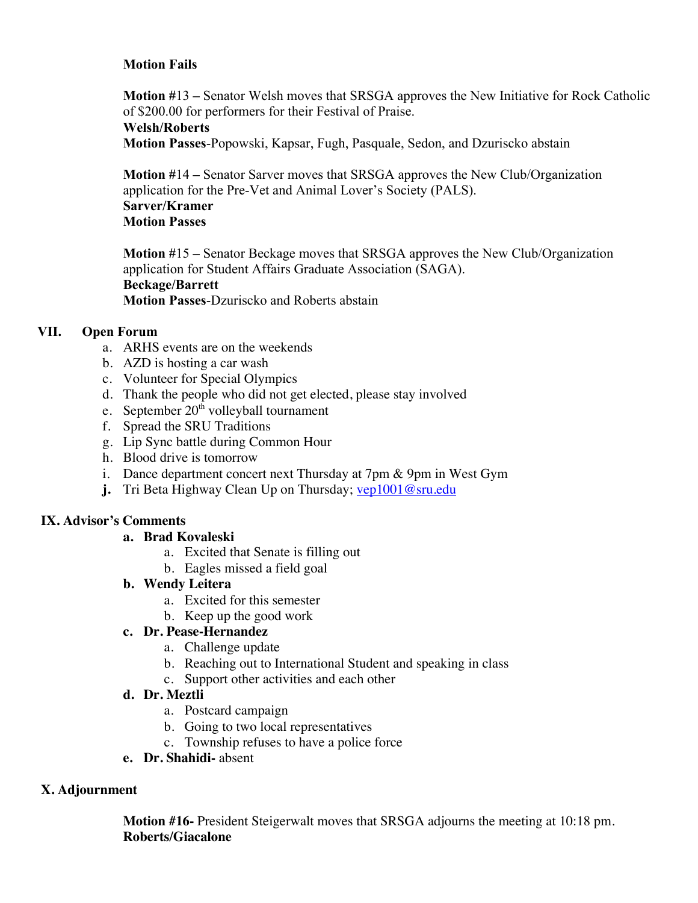### **Motion Fails**

**Motion #**13 **–** Senator Welsh moves that SRSGA approves the New Initiative for Rock Catholic of \$200.00 for performers for their Festival of Praise. **Welsh/Roberts**

**Motion Passes**-Popowski, Kapsar, Fugh, Pasquale, Sedon, and Dzuriscko abstain

**Motion #**14 **–** Senator Sarver moves that SRSGA approves the New Club/Organization application for the Pre-Vet and Animal Lover's Society (PALS). **Sarver/Kramer Motion Passes**

**Motion #**15 **–** Senator Beckage moves that SRSGA approves the New Club/Organization application for Student Affairs Graduate Association (SAGA). **Beckage/Barrett Motion Passes**-Dzuriscko and Roberts abstain

### **VII. Open Forum**

- a. ARHS events are on the weekends
- b. AZD is hosting a car wash
- c. Volunteer for Special Olympics
- d. Thank the people who did not get elected, please stay involved
- e. September 20<sup>th</sup> volleyball tournament
- f. Spread the SRU Traditions
- g. Lip Sync battle during Common Hour
- h. Blood drive is tomorrow
- i. Dance department concert next Thursday at 7pm & 9pm in West Gym
- **j.** Tri Beta Highway Clean Up on Thursday; vep1001@sru.edu

### **IX. Advisor's Comments**

### **a. Brad Kovaleski**

- a. Excited that Senate is filling out
- b. Eagles missed a field goal
- **b. Wendy Leitera**
	- a. Excited for this semester
	- b. Keep up the good work

### **c. Dr. Pease-Hernandez**

- a. Challenge update
- b. Reaching out to International Student and speaking in class
- c. Support other activities and each other

### **d. Dr. Meztli**

- a. Postcard campaign
- b. Going to two local representatives
- c. Township refuses to have a police force
- **e. Dr. Shahidi-** absent

### **X. Adjournment**

**Motion #16-** President Steigerwalt moves that SRSGA adjourns the meeting at 10:18 pm. **Roberts/Giacalone**